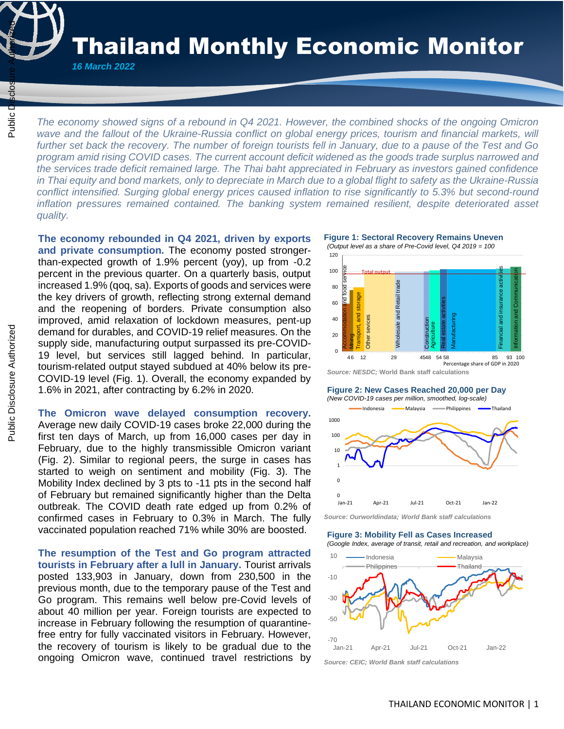Thailand Monthly Economic Monitor

*16 March 2022* 

 $\frac{1}{4}$ 

*The economy showed signs of a rebound in Q4 2021. However, the combined shocks of the ongoing Omicron wave and the fallout of the Ukraine-Russia conflict on global energy prices, tourism and financial markets, will further set back the recovery. The number of foreign tourists fell in January, due to a pause of the Test and Go program amid rising COVID cases. The current account deficit widened as the goods trade surplus narrowed and the services trade deficit remained large. The Thai baht appreciated in February as investors gained confidence in Thai equity and bond markets, only to depreciate in March due to a global flight to safety as the Ukraine-Russia conflict intensified. Surging global energy prices caused inflation to rise significantly to 5.3% but second-round inflation pressures remained contained. The banking system remained resilient, despite deteriorated asset quality.* The economy showed signs of a rebound in 0.4 2021. However, the combined wave and the fallout of the Ukraine-Russia conflict on global energy prices, to further set back the recovery. The number of foreign tourists fell in

**The economy rebounded in Q4 2021, driven by exports and private consumption.** The economy posted strongerthan-expected growth of 1.9% percent (yoy), up from -0.2 percent in the previous quarter. On a quarterly basis, output increased 1.9% (qoq, sa). Exports of goods and services were the key drivers of growth, reflecting strong external demand and the reopening of borders. Private consumption also improved, amid relaxation of lockdown measures, pent-up demand for durables, and COVID-19 relief measures. On the supply side, manufacturing output surpassed its pre-COVID-19 level, but services still lagged behind. In particular, tourism-related output stayed subdued at 40% below its pre-COVID-19 level (Fig. 1). Overall, the economy expanded by 1.6% in 2021, after contracting by 6.2% in 2020.

**The Omicron wave delayed consumption recovery.**

Average new daily COVID-19 cases broke 22,000 during the first ten days of March, up from 16,000 cases per day in February, due to the highly transmissible Omicron variant (Fig. 2). Similar to regional peers, the surge in cases has started to weigh on sentiment and mobility (Fig. 3). The Mobility Index declined by 3 pts to -11 pts in the second half of February but remained significantly higher than the Delta outbreak. The COVID death rate edged up from 0.2% of confirmed cases in February to 0.3% in March. The fully vaccinated population reached 71% while 30% are boosted.

**The resumption of the Test and Go program attracted tourists in February after a lull in January.** Tourist arrivals posted 133,903 in January, down from 230,500 in the previous month, due to the temporary pause of the Test and Go program. This remains well below pre-Covid levels of about 40 million per year. Foreign tourists are expected to increase in February following the resumption of quarantinefree entry for fully vaccinated visitors in February. However, the recovery of tourism is likely to be gradual due to the ongoing Omicron wave, continued travel restrictions by

**Figure 1: Sectoral Recovery Remains Uneven**





*Source: NESDC;* **World Bank staff calculations**

## **Figure 2: New Cases Reached 20,000 per Day**

*(New COVID-19 cases per million, smoothed, log-scale)*



*Source: Ourworldindata; World Bank staff calculations*

# **Figure 3: Mobility Fell as Cases Increased**

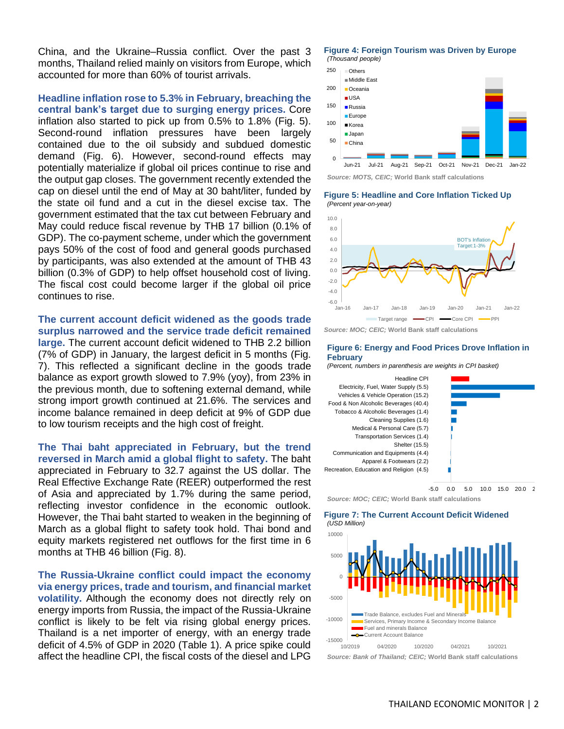China, and the Ukraine–Russia conflict. Over the past 3 months, Thailand relied mainly on visitors from Europe, which accounted for more than 60% of tourist arrivals.

**Headline inflation rose to 5.3% in February, breaching the central bank's target due to surging energy prices.** Core inflation also started to pick up from 0.5% to 1.8% (Fig. 5). Second-round inflation pressures have been largely contained due to the oil subsidy and subdued domestic demand (Fig. 6). However, second-round effects may potentially materialize if global oil prices continue to rise and the output gap closes. The government recently extended the cap on diesel until the end of May at 30 baht/liter, funded by the state oil fund and a cut in the diesel excise tax. The government estimated that the tax cut between February and May could reduce fiscal revenue by THB 17 billion (0.1% of GDP). The co-payment scheme, under which the government pays 50% of the cost of food and general goods purchased by participants, was also extended at the amount of THB 43 billion (0.3% of GDP) to help offset household cost of living. The fiscal cost could become larger if the global oil price continues to rise.

**The current account deficit widened as the goods trade surplus narrowed and the service trade deficit remained large.** The current account deficit widened to THB 2.2 billion (7% of GDP) in January, the largest deficit in 5 months (Fig. 7). This reflected a significant decline in the goods trade balance as export growth slowed to 7.9% (yoy), from 23% in the previous month, due to softening external demand, while strong import growth continued at 21.6%. The services and income balance remained in deep deficit at 9% of GDP due to low tourism receipts and the high cost of freight.

**The Thai baht appreciated in February, but the trend reversed in March amid a global flight to safety.** The baht appreciated in February to 32.7 against the US dollar. The Real Effective Exchange Rate (REER) outperformed the rest of Asia and appreciated by 1.7% during the same period, reflecting investor confidence in the economic outlook. However, the Thai baht started to weaken in the beginning of March as a global flight to safety took hold. Thai bond and equity markets registered net outflows for the first time in 6 months at THB 46 billion (Fig. 8).

**The Russia-Ukraine conflict could impact the economy via energy prices, trade and tourism, and financial market volatility.** Although the economy does not directly rely on energy imports from Russia, the impact of the Russia-Ukraine conflict is likely to be felt via rising global energy prices. Thailand is a net importer of energy, with an energy trade deficit of 4.5% of GDP in 2020 (Table 1). A price spike could affect the headline CPI, the fiscal costs of the diesel and LPG





*Source: MOTS, CEIC;* **World Bank staff calculations**

**Figure 5: Headline and Core Inflation Ticked Up** *(Percent year-on-year)*



*Source: MOC; CEIC;* **World Bank staff calculations**

## **Figure 6: Energy and Food Prices Drove Inflation in February**

*(Percent, numbers in parenthesis are weights in CPI basket)*



*Source: MOC; CEIC;* **World Bank staff calculations**

**Figure 7: The Current Account Deficit Widened**  *(USD Million)*

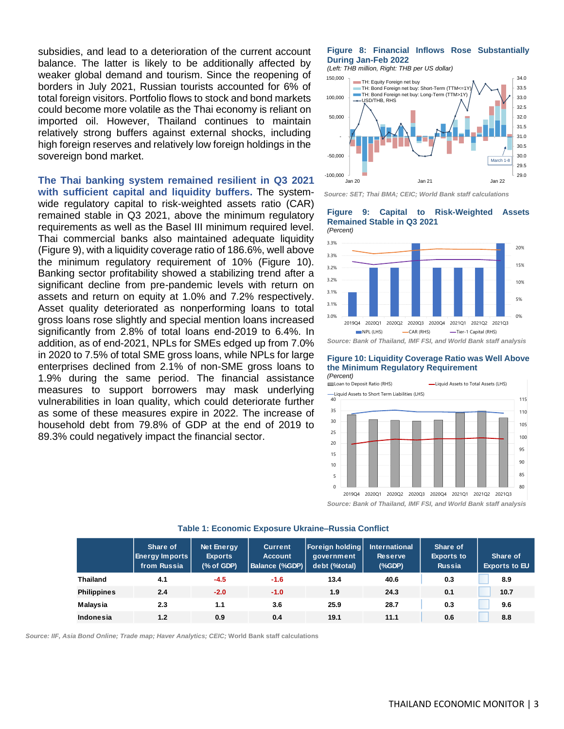subsidies, and lead to a deterioration of the current account balance. The latter is likely to be additionally affected by weaker global demand and tourism. Since the reopening of borders in July 2021, Russian tourists accounted for 6% of total foreign visitors. Portfolio flows to stock and bond markets could become more volatile as the Thai economy is reliant on imported oil. However, Thailand continues to maintain relatively strong buffers against external shocks, including high foreign reserves and relatively low foreign holdings in the sovereign bond market.

# **The Thai banking system remained resilient in Q3 2021**

**with sufficient capital and liquidity buffers.** The systemwide regulatory capital to risk-weighted assets ratio (CAR) remained stable in Q3 2021, above the minimum regulatory requirements as well as the Basel III minimum required level. Thai commercial banks also maintained adequate liquidity (Figure 9), with a liquidity coverage ratio of 186.6%, well above the minimum regulatory requirement of 10% (Figure 10). Banking sector profitability showed a stabilizing trend after a significant decline from pre-pandemic levels with return on assets and return on equity at 1.0% and 7.2% respectively. Asset quality deteriorated as nonperforming loans to total gross loans rose slightly and special mention loans increased significantly from 2.8% of total loans end-2019 to 6.4%. In addition, as of end-2021, NPLs for SMEs edged up from 7.0% in 2020 to 7.5% of total SME gross loans, while NPLs for large enterprises declined from 2.1% of non-SME gross loans to 1.9% during the same period. The financial assistance measures to support borrowers may mask underlying vulnerabilities in loan quality, which could deteriorate further as some of these measures expire in 2022. The increase of household debt from 79.8% of GDP at the end of 2019 to 89.3% could negatively impact the financial sector.

# **Figure 8: Financial Inflows Rose Substantially During Jan-Feb 2022**

*(Left: THB million, Right: THB per US dollar)*



*Source: SET; Thai BMA; CEIC; World Bank staff calculations*

#### **Figure 9: Capital to Risk-Weighted Assets Remained Stable in Q3 2021 Sector**



**Figure 10: Liquidity Coverage Ratio was Well Above the Minimum Regulatory Requirement** 



*Source: Bank of Thailand, IMF FSI, and World Bank staff analysis*

|                    | Share of<br><b>Energy Imports</b><br>from Russia | <b>Net Energy</b><br><b>Exports</b><br>(% of GDP) | <b>Current</b><br><b>Account</b><br><b>Balance (%GDP)</b> | <b>Foreign holding</b><br>aovernment<br>debt (%total) | <b>International</b><br><b>Reserve</b><br>(% | Share of<br><b>Exports to</b><br><b>Russia</b> | Share of<br><b>Exports to EU</b> |
|--------------------|--------------------------------------------------|---------------------------------------------------|-----------------------------------------------------------|-------------------------------------------------------|----------------------------------------------|------------------------------------------------|----------------------------------|
| <b>Thailand</b>    | 4.1                                              | $-4.5$                                            | $-1.6$                                                    | 13.4                                                  | 40.6                                         | 0.3                                            | 8.9                              |
| <b>Philippines</b> | 2.4                                              | $-2.0$                                            | $-1.0$                                                    | 1.9                                                   | 24.3                                         | 0.1                                            | 10.7                             |
| Malaysia           | 2.3                                              | 1.1                                               | 3.6                                                       | 25.9                                                  | 28.7                                         | 0.3                                            | 9.6                              |
| Indonesia          | 1.2                                              | 0.9                                               | 0.4                                                       | 19.1                                                  | 11.1                                         | 0.6                                            | 8.8                              |

#### **Table 1: Economic Exposure Ukraine–Russia Conflict**

*Source: IIF, Asia Bond Online; Trade map; Haver Analytics; CEIC;* **World Bank staff calculations**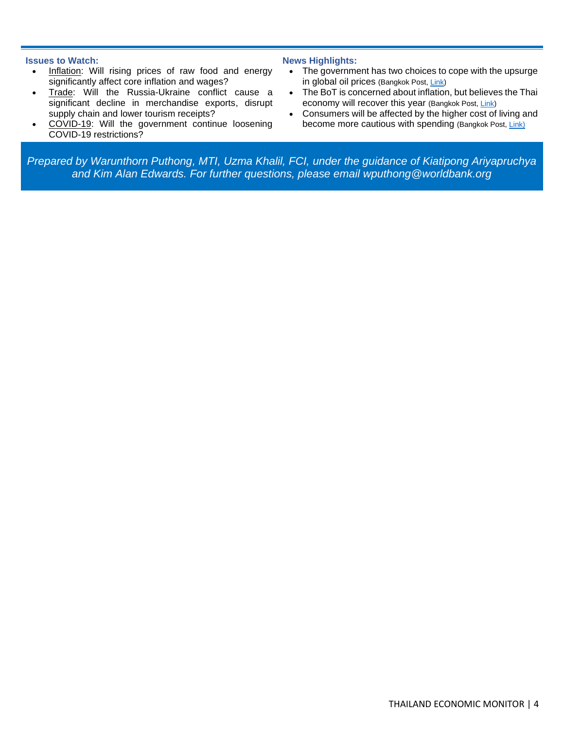# **Issues to Watch:**

- Inflation: Will rising prices of raw food and energy significantly affect core inflation and wages?
- Trade: Will the Russia-Ukraine conflict cause a significant decline in merchandise exports, disrupt supply chain and lower tourism receipts?
- COVID-19: Will the government continue loosening COVID-19 restrictions?

# **News Highlights:**

- The government has two choices to cope with the upsurge in global oil prices (Bangkok Post[, Link\)](https://www.bangkokpost.com/business/2275367/state-mulls-reply-to-oil-price-spike)
- The BoT is concerned about inflation, but believes the Thai economy will recover this year (Bangkok Post[, Link\)](https://www.bangkokpost.com/business/2271611/bot-in-inflation-warning)
- Consumers will be affected by the higher cost of living and become more cautious with spending (Bangkok Post, [Link\)](https://www.bangkokpost.com/business/2276203/exploring-factors-driving-the-inflation-uptick)

*Prepared by Warunthorn Puthong, MTI, Uzma Khalil, FCI, under the guidance of Kiatipong Ariyapruchya and Kim Alan Edwards. For further questions, please email [wputhong@worldbank.org](mailto:wputhong@worldbank.org)*